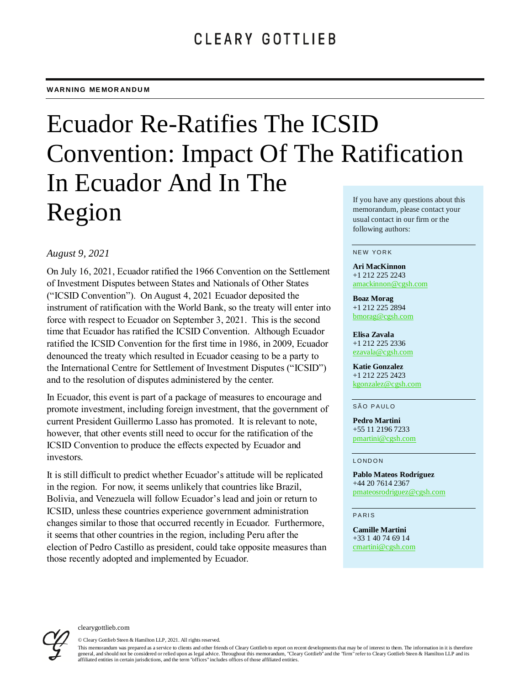# Ecuador Re-Ratifies The ICSID Convention: Impact Of The Ratification In Ecuador And In The Region If you have any questions about this memorandum, please contact your usual contact in our firm or the

# *August 9, 2021*

On July 16, 2021, Ecuador ratified the 1966 Convention on the Settlement of Investment Disputes between States and Nationals of Other States ("ICSID Convention"). On August 4, 2021 Ecuador deposited the instrument of ratification with the World Bank, so the treaty will enter into force with respect to Ecuador on September 3, 2021. This is the second time that Ecuador has ratified the ICSID Convention. Although Ecuador ratified the ICSID Convention for the first time in 1986, in 2009, Ecuador denounced the treaty which resulted in Ecuador ceasing to be a party to the International Centre for Settlement of Investment Disputes ("ICSID") and to the resolution of disputes administered by the center.

In Ecuador, this event is part of a package of measures to encourage and promote investment, including foreign investment, that the government of current President Guillermo Lasso has promoted. It is relevant to note, however, that other events still need to occur for the ratification of the ICSID Convention to produce the effects expected by Ecuador and investors.

It is still difficult to predict whether Ecuador's attitude will be replicated in the region. For now, it seems unlikely that countries like Brazil, Bolivia, and Venezuela will follow Ecuador's lead and join or return to ICSID, unless these countries experience government administration changes similar to those that occurred recently in Ecuador. Furthermore, it seems that other countries in the region, including Peru after the election of Pedro Castillo as president, could take opposite measures than those recently adopted and implemented by Ecuador.

following authors:

#### NEW YORK

#### **Ari MacKinnon**  +1 212 225 2243

<amackinnon@cgsh.com>

#### **Boaz Morag** +1 212 225 2894 [bmorag@cgsh.com](mailto:bmorag@cgsh.com)

**Elisa Zavala** +1 212 225 2336 [ezavala@cgsh.com](mailto:ezavala@cgsh.com)

**Katie Gonzalez** +1 212 225 2423 [kgonzalez@cgsh.com](mailto:kgonzalez@cgsh.com)

### SÃO PAULO

**Pedro Martini** +55 11 2196 7233 [pmartini@cgsh.com](mailto:pmartini@cgsh.com)

### **LONDON**

**Pablo Mateos Rodríguez** +44 20 7614 2367 [pmateosrodriguez@cgsh.com](mailto:pmateosrodriguez@cgsh.com)

### **PARIS**

**Camille Martini** +33 1 40 74 69 14 <cmartini@cgsh.com>



clearygottlieb.com

© Cleary Gottlieb Steen & Hamilton LLP, 2021. All rights reserved.

This memorandum was prepared as a service to clients and other friends of Cleary Gottlieb to report on recent developments that may be of interest to them. The information in it is therefore general, and should not be considered or relied upon as legal advice. Throughout this memorandum, "Cleary Gottlieb" and the "firm" refer to Cleary Gottlieb Steen & Hamilton LLP and its affiliated entities in certain jurisdictions, and the term "offices" includes offices of those affiliated entities.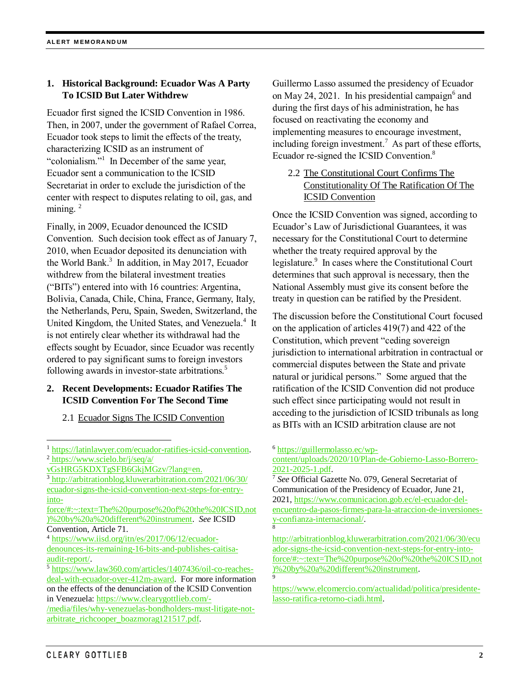### **1. Historical Background: Ecuador Was A Party To ICSID But Later Withdrew**

Ecuador first signed the ICSID Convention in 1986. Then, in 2007, under the government of Rafael Correa, Ecuador took steps to limit the effects of the treaty, characterizing ICSID as an instrument of "colonialism."<sup>1</sup> In December of the same year, Ecuador sent a communication to the ICSID Secretariat in order to exclude the jurisdiction of the center with respect to disputes relating to oil, gas, and mining.  $2$ 

Finally, in 2009, Ecuador denounced the ICSID Convention. Such decision took effect as of January 7, 2010, when Ecuador deposited its denunciation with the World Bank. 3 In addition, in May 2017, Ecuador withdrew from the bilateral investment treaties ("BITs") entered into with 16 countries: Argentina, Bolivia, Canada, Chile, China, France, Germany, Italy, the Netherlands, Peru, Spain, Sweden, Switzerland, the United Kingdom, the United States, and Venezuela.<sup>4</sup> It is not entirely clear whether its withdrawal had the effects sought by Ecuador, since Ecuador was recently ordered to pay significant sums to foreign investors following awards in investor-state arbitrations.<sup>5</sup>

# **2. Recent Developments: Ecuador Ratifies The ICSID Convention For The Second Time**

2.1 Ecuador Signs The ICSID Convention

Guillermo Lasso assumed the presidency of Ecuador on May 24, 2021. In his presidential campaign<sup>6</sup> and during the first days of his administration, he has focused on reactivating the economy and implementing measures to encourage investment, including foreign investment.<sup>7</sup> As part of these efforts, Ecuador re-signed the ICSID Convention.<sup>8</sup>

# 2.2 The Constitutional Court Confirms The Constitutionality Of The Ratification Of The ICSID Convention

Once the ICSID Convention was signed, according to Ecuador's Law of Jurisdictional Guarantees, it was necessary for the Constitutional Court to determine whether the treaty required approval by the legislature.<sup>9</sup> In cases where the Constitutional Court determines that such approval is necessary, then the National Assembly must give its consent before the treaty in question can be ratified by the President.

The discussion before the Constitutional Court focused on the application of articles 419(7) and 422 of the Constitution, which prevent "ceding sovereign jurisdiction to international arbitration in contractual or commercial disputes between the State and private natural or juridical persons." Some argued that the ratification of the ICSID Convention did not produce such effect since participating would not result in acceding to the jurisdiction of ICSID tribunals as long as BITs with an ICSID arbitration clause are not

### <sup>6</sup> [https://guillermolasso.ec/wp-](https://guillermolasso.ec/wp-content/uploads/2020/10/Plan-de-Gobierno-Lasso-Borrero-2021-2025-1.pdf)

[content/uploads/2020/10/Plan-de-Gobierno-Lasso-Borrero-](https://guillermolasso.ec/wp-content/uploads/2020/10/Plan-de-Gobierno-Lasso-Borrero-2021-2025-1.pdf)[2021-2025-1.pdf.](https://guillermolasso.ec/wp-content/uploads/2020/10/Plan-de-Gobierno-Lasso-Borrero-2021-2025-1.pdf)

<sup>7</sup> *See* Official Gazette No. 079, General Secretariat of Communication of the Presidency of Ecuador, June 21, 2021[, https://www.comunicacion.gob.ec/el-ecuador-del](https://www.comunicacion.gob.ec/el-ecuador-del-encuentro-da-pasos-firmes-para-la-atraccion-de-inversiones-y-confianza-internacional/)[encuentro-da-pasos-firmes-para-la-atraccion-de-inversiones](https://www.comunicacion.gob.ec/el-ecuador-del-encuentro-da-pasos-firmes-para-la-atraccion-de-inversiones-y-confianza-internacional/)[y-confianza-internacional/.](https://www.comunicacion.gob.ec/el-ecuador-del-encuentro-da-pasos-firmes-para-la-atraccion-de-inversiones-y-confianza-internacional/) [8](http://arbitrationblog.kluwerarbitration.com/2021/06/30/ecuador-signs-the-icsid-convention-next-steps-for-entry-into-force/#:~:text=The%20purpose%20of%20the%20ICSID,not)%20by%20a%20different%20instrument)

[http://arbitrationblog.kluwerarbitration.com/2021/06/30/ecu](http://arbitrationblog.kluwerarbitration.com/2021/06/30/ecuador-signs-the-icsid-convention-next-steps-for-entry-into-force/#:~:text=The%20purpose%20of%20the%20ICSID,not)%20by%20a%20different%20instrument) [ador-signs-the-icsid-convention-next-steps-for-entry-into](http://arbitrationblog.kluwerarbitration.com/2021/06/30/ecuador-signs-the-icsid-convention-next-steps-for-entry-into-force/#:~:text=The%20purpose%20of%20the%20ICSID,not)%20by%20a%20different%20instrument)[force/#:~:text=The%20purpose%20of%20the%20ICSID,not](http://arbitrationblog.kluwerarbitration.com/2021/06/30/ecuador-signs-the-icsid-convention-next-steps-for-entry-into-force/#:~:text=The%20purpose%20of%20the%20ICSID,not)%20by%20a%20different%20instrument) [\)%20by%20a%20different%20instrument.](http://arbitrationblog.kluwerarbitration.com/2021/06/30/ecuador-signs-the-icsid-convention-next-steps-for-entry-into-force/#:~:text=The%20purpose%20of%20the%20ICSID,not)%20by%20a%20different%20instrument) 9

[https://www.elcomercio.com/actualidad/politica/presidente](https://www.elcomercio.com/actualidad/politica/presidente-lasso-ratifica-retorno-ciadi.html)[lasso-ratifica-retorno-ciadi.html.](https://www.elcomercio.com/actualidad/politica/presidente-lasso-ratifica-retorno-ciadi.html)

l <sup>1</sup> [https://latinlawyer.com/ecuador-ratifies-icsid-convention.](https://latinlawyer.com/ecuador-ratifies-icsid-convention) <sup>2</sup> [https://www.scielo.br/j/seq/a/](https://www.scielo.br/j/seq/a/vGsHRG5KDXTgSFB6GkjMGzv/?lang=en) 

[vGsHRG5KDXTgSFB6GkjMGzv/?lang=en.](https://www.scielo.br/j/seq/a/vGsHRG5KDXTgSFB6GkjMGzv/?lang=en)

<sup>3</sup> [http://arbitrationblog.kluwerarbitration.com/2021/06/30/](http://arbitrationblog.kluwerarbitration.com/2021/06/30/ecuador-signs-the-icsid-convention-next-steps-for-entry-into-force/#:~:text=The%20purpose%20of%20the%20ICSID,not)%20by%20a%20different%20instrument)  [ecuador-signs-the-icsid-convention-next-steps-for-entry](http://arbitrationblog.kluwerarbitration.com/2021/06/30/ecuador-signs-the-icsid-convention-next-steps-for-entry-into-force/#:~:text=The%20purpose%20of%20the%20ICSID,not)%20by%20a%20different%20instrument)[into](http://arbitrationblog.kluwerarbitration.com/2021/06/30/ecuador-signs-the-icsid-convention-next-steps-for-entry-into-force/#:~:text=The%20purpose%20of%20the%20ICSID,not)%20by%20a%20different%20instrument)[force/#:~:text=The%20purpose%20of%20the%20ICSID,not](http://arbitrationblog.kluwerarbitration.com/2021/06/30/ecuador-signs-the-icsid-convention-next-steps-for-entry-into-force/#:~:text=The%20purpose%20of%20the%20ICSID,not)%20by%20a%20different%20instrument)

[<sup>\)%20</sup>by%20a%20different%20instrument.](http://arbitrationblog.kluwerarbitration.com/2021/06/30/ecuador-signs-the-icsid-convention-next-steps-for-entry-into-force/#:~:text=The%20purpose%20of%20the%20ICSID,not)%20by%20a%20different%20instrument) *See* ICSID Convention, Article 71.

<sup>4</sup> [https://www.iisd.org/itn/es/2017/06/12/ecuador-](https://www.iisd.org/itn/es/2017/06/12/ecuador-denounces-its-remaining-16-bits-and-publishes-caitisa-audit-report/)

[denounces-its-remaining-16-bits-and-publishes-caitisa](https://www.iisd.org/itn/es/2017/06/12/ecuador-denounces-its-remaining-16-bits-and-publishes-caitisa-audit-report/)[audit-report/.](https://www.iisd.org/itn/es/2017/06/12/ecuador-denounces-its-remaining-16-bits-and-publishes-caitisa-audit-report/)

<sup>5</sup> [https://www.law360.com/articles/1407436/oil-co-reaches](https://www.law360.com/articles/1407436/oil-co-reaches-deal-with-ecuador-over-412m-award)[deal-with-ecuador-over-412m-award.](https://www.law360.com/articles/1407436/oil-co-reaches-deal-with-ecuador-over-412m-award) For more information on the effects of the denunciation of the ICSID Convention in Venezuela: [https://www.clearygottlieb.com/-](https://www.clearygottlieb.com/-/media/files/why-venezuelas-bondholders-must-litigate-not-arbitrate_richcooper_boazmorag121517.pdf)

[<sup>/</sup>media/files/why-venezuelas-bondholders-must-litigate-not](https://www.clearygottlieb.com/-/media/files/why-venezuelas-bondholders-must-litigate-not-arbitrate_richcooper_boazmorag121517.pdf)[arbitrate\\_richcooper\\_boazmorag121517.pdf.](https://www.clearygottlieb.com/-/media/files/why-venezuelas-bondholders-must-litigate-not-arbitrate_richcooper_boazmorag121517.pdf)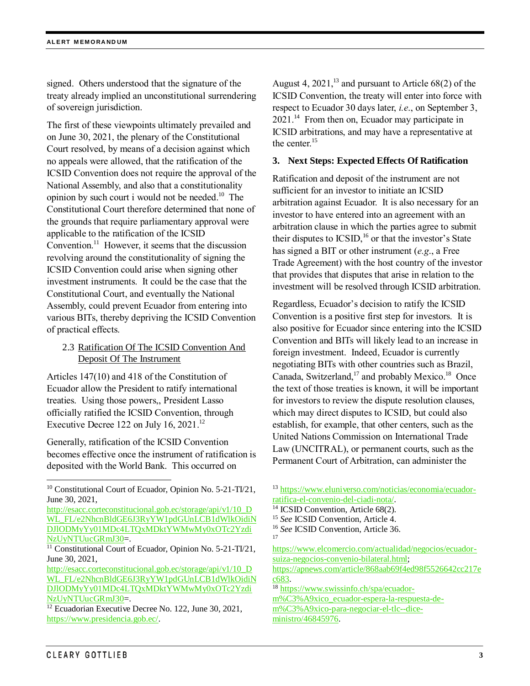signed. Others understood that the signature of the treaty already implied an unconstitutional surrendering of sovereign jurisdiction.

The first of these viewpoints ultimately prevailed and on June 30, 2021, the plenary of the Constitutional Court resolved, by means of a decision against which no appeals were allowed, that the ratification of the ICSID Convention does not require the approval of the National Assembly, and also that a constitutionality opinion by such court i would not be needed. 10 The Constitutional Court therefore determined that none of the grounds that require parliamentary approval were applicable to the ratification of the ICSID Convention. $11$  However, it seems that the discussion revolving around the constitutionality of signing the ICSID Convention could arise when signing other investment instruments. It could be the case that the Constitutional Court, and eventually the National Assembly, could prevent Ecuador from entering into various BITs, thereby depriving the ICSID Convention of practical effects.

# 2.3 Ratification Of The ICSID Convention And Deposit Of The Instrument

Articles 147(10) and 418 of the Constitution of Ecuador allow the President to ratify international treaties. Using those powers,, President Lasso officially ratified the ICSID Convention, through Executive Decree 122 on July 16,  $2021$ .<sup>12</sup>

Generally, ratification of the ICSID Convention becomes effective once the instrument of ratification is deposited with the World Bank. This occurred on

August 4,  $2021$ ,<sup>13</sup> and pursuant to Article 68(2) of the ICSID Convention, the treaty will enter into force with respect to Ecuador 30 days later, *i.e*., on September 3, 2021.<sup>14</sup> From then on, Ecuador may participate in ICSID arbitrations, and may have a representative at the center. 15

### **3. Next Steps: Expected Effects Of Ratification**

Ratification and deposit of the instrument are not sufficient for an investor to initiate an ICSID arbitration against Ecuador. It is also necessary for an investor to have entered into an agreement with an arbitration clause in which the parties agree to submit their disputes to  $\text{ICSID}$ ,<sup>16</sup> or that the investor's State has signed a BIT or other instrument (*e.g*., a Free Trade Agreement) with the host country of the investor that provides that disputes that arise in relation to the investment will be resolved through ICSID arbitration.

Regardless, Ecuador's decision to ratify the ICSID Convention is a positive first step for investors. It is also positive for Ecuador since entering into the ICSID Convention and BITs will likely lead to an increase in foreign investment. Indeed, Ecuador is currently negotiating BITs with other countries such as Brazil, Canada, Switzerland,<sup>17</sup> and probably Mexico.<sup>18</sup> Once the text of those treaties is known, it will be important for investors to review the dispute resolution clauses, which may direct disputes to ICSID, but could also establish, for example, that other centers, such as the United Nations Commission on International Trade Law (UNCITRAL), or permanent courts, such as the Permanent Court of Arbitration, can administer the

17

[https://www.elcomercio.com/actualidad/negocios/ecuador](https://www.elcomercio.com/actualidad/negocios/ecuador-suiza-negocios-convenio-bilateral.html)[suiza-negocios-convenio-bilateral.html;](https://www.elcomercio.com/actualidad/negocios/ecuador-suiza-negocios-convenio-bilateral.html)

[https://apnews.com/article/868aab69f4ed98f5526642cc217e](https://apnews.com/article/868aab69f4ed98f5526642cc217ec683) [c683.](https://apnews.com/article/868aab69f4ed98f5526642cc217ec683)

<sup>18</sup> [https://www.swissinfo.ch/spa/ecuador-](https://www.swissinfo.ch/spa/ecuador-m%C3%A9xico_ecuador-espera-la-respuesta-de-m%C3%A9xico-para-negociar-el-tlc--dice-ministro/46845976)

[m%C3%A9xico\\_ecuador-espera-la-respuesta-de](https://www.swissinfo.ch/spa/ecuador-m%C3%A9xico_ecuador-espera-la-respuesta-de-m%C3%A9xico-para-negociar-el-tlc--dice-ministro/46845976)[m%C3%A9xico-para-negociar-el-tlc--dice](https://www.swissinfo.ch/spa/ecuador-m%C3%A9xico_ecuador-espera-la-respuesta-de-m%C3%A9xico-para-negociar-el-tlc--dice-ministro/46845976)[ministro/46845976.](https://www.swissinfo.ch/spa/ecuador-m%C3%A9xico_ecuador-espera-la-respuesta-de-m%C3%A9xico-para-negociar-el-tlc--dice-ministro/46845976)

l

<sup>10</sup> Constitutional Court of Ecuador, Opinion No. 5-21-TI/21, June 30, 2021,

[http://esacc.corteconstitucional.gob.ec/storage/api/v1/10\\_D](http://esacc.corteconstitucional.gob.ec/storage/api/v1/10_DWL_FL/e2NhcnBldGE6J3RyYW1pdGUnLCB1dWlkOidiNDJlODMyYy01MDc4LTQxMDktYWMwMy0xOTc2YzdiNzUyNTUucGRmJ30) [WL\\_FL/e2NhcnBldGE6J3RyYW1pdGUnLCB1dWlkOidiN](http://esacc.corteconstitucional.gob.ec/storage/api/v1/10_DWL_FL/e2NhcnBldGE6J3RyYW1pdGUnLCB1dWlkOidiNDJlODMyYy01MDc4LTQxMDktYWMwMy0xOTc2YzdiNzUyNTUucGRmJ30) [DJlODMyYy01MDc4LTQxMDktYWMwMy0xOTc2Yzdi](http://esacc.corteconstitucional.gob.ec/storage/api/v1/10_DWL_FL/e2NhcnBldGE6J3RyYW1pdGUnLCB1dWlkOidiNDJlODMyYy01MDc4LTQxMDktYWMwMy0xOTc2YzdiNzUyNTUucGRmJ30) [NzUyNTUucGRmJ30=](http://esacc.corteconstitucional.gob.ec/storage/api/v1/10_DWL_FL/e2NhcnBldGE6J3RyYW1pdGUnLCB1dWlkOidiNDJlODMyYy01MDc4LTQxMDktYWMwMy0xOTc2YzdiNzUyNTUucGRmJ30).

<sup>&</sup>lt;sup>11</sup> Constitutional Court of Ecuador, Opinion No. 5-21-TI/21, June 30, 2021,

[http://esacc.corteconstitucional.gob.ec/storage/api/v1/10\\_D](http://esacc.corteconstitucional.gob.ec/storage/api/v1/10_DWL_FL/e2NhcnBldGE6J3RyYW1pdGUnLCB1dWlkOidiNDJlODMyYy01MDc4LTQxMDktYWMwMy0xOTc2YzdiNzUyNTUucGRmJ30) [WL\\_FL/e2NhcnBldGE6J3RyYW1pdGUnLCB1dWlkOidiN](http://esacc.corteconstitucional.gob.ec/storage/api/v1/10_DWL_FL/e2NhcnBldGE6J3RyYW1pdGUnLCB1dWlkOidiNDJlODMyYy01MDc4LTQxMDktYWMwMy0xOTc2YzdiNzUyNTUucGRmJ30) [DJlODMyYy01MDc4LTQxMDktYWMwMy0xOTc2Yzdi](http://esacc.corteconstitucional.gob.ec/storage/api/v1/10_DWL_FL/e2NhcnBldGE6J3RyYW1pdGUnLCB1dWlkOidiNDJlODMyYy01MDc4LTQxMDktYWMwMy0xOTc2YzdiNzUyNTUucGRmJ30) [NzUyNTUucGRmJ30=](http://esacc.corteconstitucional.gob.ec/storage/api/v1/10_DWL_FL/e2NhcnBldGE6J3RyYW1pdGUnLCB1dWlkOidiNDJlODMyYy01MDc4LTQxMDktYWMwMy0xOTc2YzdiNzUyNTUucGRmJ30).

<sup>&</sup>lt;sup>12</sup> Ecuadorian Executive Decree No. 122, June 30, 2021, [https://www.presidencia.gob.ec/.](https://www.presidencia.gob.ec/)

<sup>13</sup> [https://www.eluniverso.com/noticias/economia/ecuador](https://www.eluniverso.com/noticias/economia/ecuador-ratifica-el-convenio-del-ciadi-nota/)[ratifica-el-convenio-del-ciadi-nota/.](https://www.eluniverso.com/noticias/economia/ecuador-ratifica-el-convenio-del-ciadi-nota/)

<sup>&</sup>lt;sup>14</sup> ICSID Convention, Article 68(2).

<sup>15</sup> *See* ICSID Convention, Article 4.

<sup>16</sup> *See* ICSID Convention, Article 36.